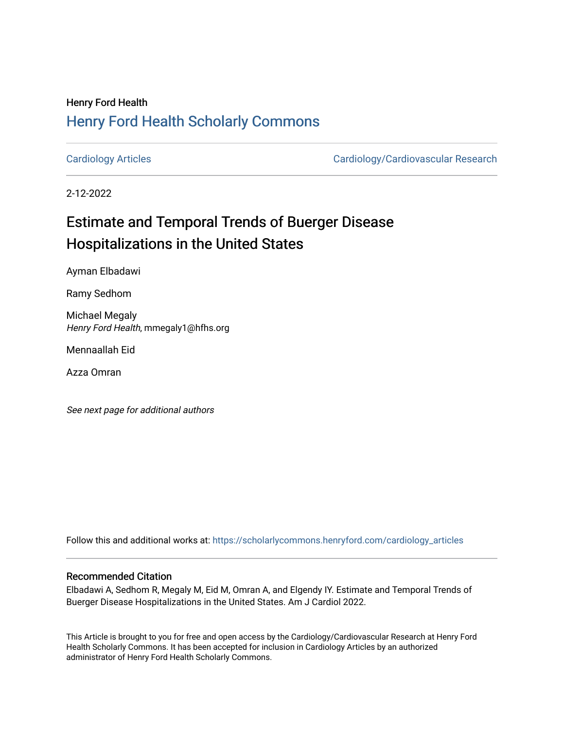## Henry Ford Health [Henry Ford Health Scholarly Commons](https://scholarlycommons.henryford.com/)

[Cardiology Articles](https://scholarlycommons.henryford.com/cardiology_articles) [Cardiology/Cardiovascular Research](https://scholarlycommons.henryford.com/cardiology) 

2-12-2022

# Estimate and Temporal Trends of Buerger Disease Hospitalizations in the United States

Ayman Elbadawi

Ramy Sedhom

Michael Megaly Henry Ford Health, mmegaly1@hfhs.org

Mennaallah Eid

Azza Omran

See next page for additional authors

Follow this and additional works at: [https://scholarlycommons.henryford.com/cardiology\\_articles](https://scholarlycommons.henryford.com/cardiology_articles?utm_source=scholarlycommons.henryford.com%2Fcardiology_articles%2F887&utm_medium=PDF&utm_campaign=PDFCoverPages)

### Recommended Citation

Elbadawi A, Sedhom R, Megaly M, Eid M, Omran A, and Elgendy IY. Estimate and Temporal Trends of Buerger Disease Hospitalizations in the United States. Am J Cardiol 2022.

This Article is brought to you for free and open access by the Cardiology/Cardiovascular Research at Henry Ford Health Scholarly Commons. It has been accepted for inclusion in Cardiology Articles by an authorized administrator of Henry Ford Health Scholarly Commons.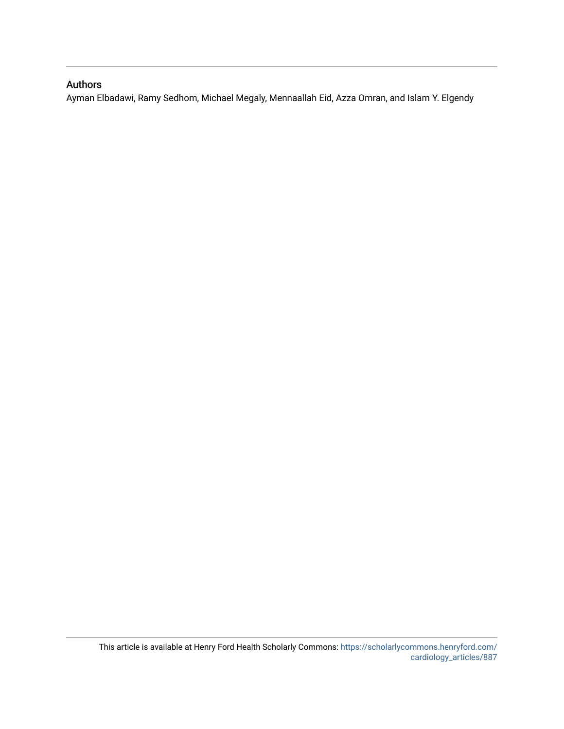### Authors

Ayman Elbadawi, Ramy Sedhom, Michael Megaly, Mennaallah Eid, Azza Omran, and Islam Y. Elgendy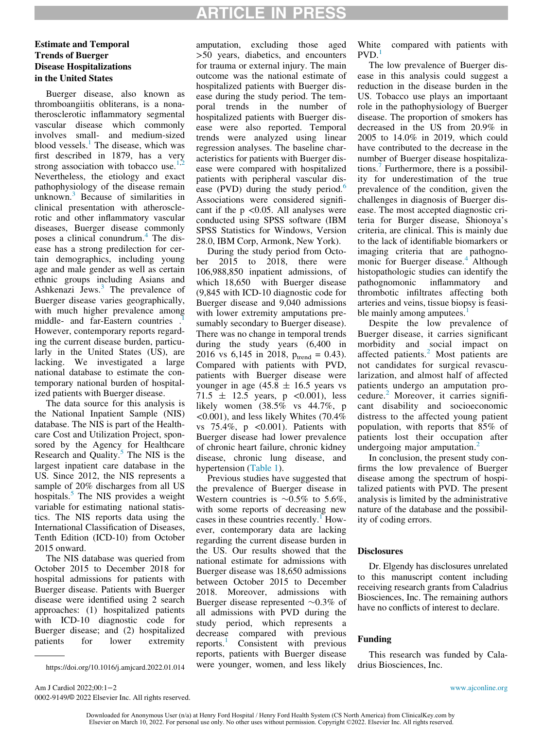## ARTICLE IN PRESS

### Estimate and Temporal Trends of Buerger Disease Hospitalizations in the United States

Buerger disease, also known as thromboangiitis obliterans, is a nonatherosclerotic inflammatory segmental vascular disease which commonly involves small- and medium-sized blood vessels. $<sup>1</sup>$  $<sup>1</sup>$  $<sup>1</sup>$  The disease, which was</sup> first described in 1879, has a very strong association with tobacco use.<sup>1</sup> Nevertheless, the etiology and exact pathophysiology of the disease remain unknown. $3$  Because of similarities in clinical presentation with atherosclerotic and other inflammatory vascular diseases, Buerger disease commonly poses a clinical conundrum.<sup>[4](#page-3-3)</sup> The disease has a strong predilection for certain demographics, including young age and male gender as well as certain ethnic groups including Asians and Ashkenazi Jews.<sup>[3](#page-3-2)</sup> The prevalence of Buerger disease varies geographically, with much higher prevalence among middle- and far-Eastern countries However, contemporary reports regarding the current disease burden, particularly in the United States (US), are lacking. We investigated a large national database to estimate the contemporary national burden of hospitalized patients with Buerger disease.

The data source for this analysis is the National Inpatient Sample (NIS) database. The NIS is part of the Healthcare Cost and Utilization Project, sponsored by the Agency for Healthcare Research and Quality. $5$  The NIS is the largest inpatient care database in the US. Since 2012, the NIS represents a sample of 20% discharges from all US hospitals.<sup>[5](#page-3-4)</sup> The NIS provides a weight variable for estimating national statistics. The NIS reports data using the International Classification of Diseases, Tenth Edition (ICD-10) from October 2015 onward.

The NIS database was queried from October 2015 to December 2018 for hospital admissions for patients with Buerger disease. Patients with Buerger disease were identified using 2 search approaches: (1) hospitalized patients with ICD-10 diagnostic code for Buerger disease; and (2) hospitalized patients for lower extremity

amputation, excluding those aged >50 years, diabetics, and encounters for trauma or external injury. The main outcome was the national estimate of hospitalized patients with Buerger disease during the study period. The temporal trends in the number of hospitalized patients with Buerger disease were also reported. Temporal trends were analyzed using linear regression analyses. The baseline characteristics for patients with Buerger disease were compared with hospitalized patients with peripheral vascular disease (PVD) during the study period. $6$ Associations were considered significant if the  $p \le 0.05$ . All analyses were conducted using SPSS software (IBM SPSS Statistics for Windows, Version 28.0, IBM Corp, Armonk, New York).

During the study period from October 2015 to 2018, there were 106,988,850 inpatient admissions, of which 18,650 with Buerger disease (9,845 with ICD-10 diagnostic code for Buerger disease and 9,040 admissions with lower extremity amputations presumably secondary to Buerger disease). There was no change in temporal trends during the study years (6,400 in 2016 vs 6,145 in 2018,  $p_{\text{trend}} = 0.43$ . Compared with patients with PVD, patients with Buerger disease were younger in age  $(45.8 \pm 16.5 \text{ years} \text{ vs }$ 71.5  $\pm$  12.5 years, p <0.001), less likely women (38.5% vs 44.7%, p  $\leq$ 0.001), and less likely Whites (70.4%) vs  $75.4\%$ , p <0.001). Patients with Buerger disease had lower prevalence of chronic heart failure, chronic kidney disease, chronic lung disease, and hypertension [\(Table 1\)](#page-3-6).

Previous studies have suggested that the prevalence of Buerger disease in Western countries is  $\sim 0.5\%$  to 5.6%, with some reports of decreasing new cases in these countries recently. $\frac{1}{1}$  $\frac{1}{1}$  $\frac{1}{1}$  However, contemporary data are lacking regarding the current disease burden in the US. Our results showed that the national estimate for admissions with Buerger disease was 18,650 admissions between October 2015 to December 2018. Moreover, admissions with Buerger disease represented  $\sim 0.3\%$  of all admissions with PVD during the study period, which represents a decrease compared with previous reports.<sup>1</sup> Consistent with previous reports, patients with Buerger disease were younger, women, and less likely White compared with patients with  $PVD.$ <sup>[1](#page-3-0)</sup>

The low prevalence of Buerger disease in this analysis could suggest a reduction in the disease burden in the US. Tobacco use plays an importaant role in the pathophysiology of Buerger disease. The proportion of smokers has decreased in the US from 20.9% in 2005 to 14.0% in 2019, which could have contributed to the decrease in the number of Buerger disease hospitalizations[.7](#page-3-7) Furthermore, there is a possibility for underestimation of the true prevalence of the condition, given the challenges in diagnosis of Buerger disease. The most accepted diagnostic criteria for Burger disease, Shionoya's criteria, are clinical. This is mainly due to the lack of identifiable biomarkers or imaging criteria that are pathogno-monic for Buerger disease.<sup>[4](#page-3-3)</sup> Although histopathologic studies can identify the pathognomonic inflammatory and thrombotic infiltrates affecting both arteries and veins, tissue biopsy is feasi-ble mainly among amputees.<sup>[1](#page-3-0)</sup>

Despite the low prevalence of Buerger disease, it carries significant morbidity and social impact on affected patients.<sup>[2](#page-3-1)</sup> Most patients are not candidates for surgical revascularization, and almost half of affected patients undergo an amputation procedure. $<sup>2</sup>$  $<sup>2</sup>$  $<sup>2</sup>$  Moreover, it carries signifi-</sup> cant disability and socioeconomic distress to the affected young patient population, with reports that 85% of patients lost their occupation after undergoing major amputation. $<sup>2</sup>$  $<sup>2</sup>$  $<sup>2</sup>$ </sup>

In conclusion, the present study confirms the low prevalence of Buerger disease among the spectrum of hospitalized patients with PVD. The present analysis is limited by the administrative nature of the database and the possibility of coding errors.

#### **Disclosures**

Dr. Elgendy has disclosures unrelated to this manuscript content including receiving research grants from Caladrius Biosciences, Inc. The remaining authors have no conflicts of interest to declare.

#### Funding

This research was funded by Cala-

0002-9149/© 2022 Elsevier Inc. All rights reserved.

https://doi.org/10.1016/j.amjcard.2022.01.014 were younger, women, and less likely drius Biosciences, Inc.